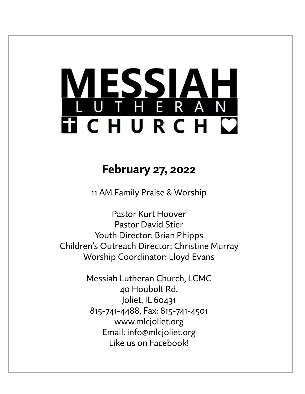# **MESSIAH TICHURCH C**

# **February 27, 2022**

11 AM Family Praise & Worship

Pastor Kurt Hoover Pastor David Stier Youth Director: Brian Phipps Children's Outreach Director: Christine Murray Worship Coordinator: Lloyd Evans

> Messiah Lutheran Church, LCMC 40 Houbolt Rd. Joliet, IL 60431 815-741-4488, Fax: 815-741-4501 www.mlcjoliet.org Email: info@mlcjoliet.org Like us on Facebook!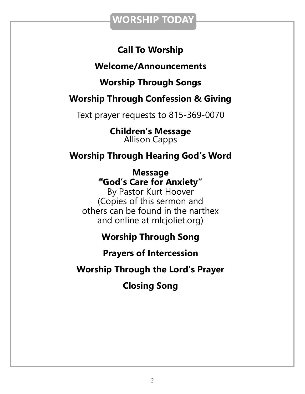### **WORSHIP TODAY**

### **Call To Worship**

### **Welcome/Announcements**

### **Worship Through Songs**

### **Worship Through Confession & Giving**

Text prayer requests to 815-369-0070

**Children's Message** Allison Capps

### **Worship Through Hearing God's Word**

**Message "God's Care for Anxiety"**

By Pastor Kurt Hoover (Copies of this sermon and others can be found in the narthex and online at mlcjoliet.org)

### **Worship Through Song**

**Prayers of Intercession**

**Worship Through the Lord's Prayer**

**Closing Song**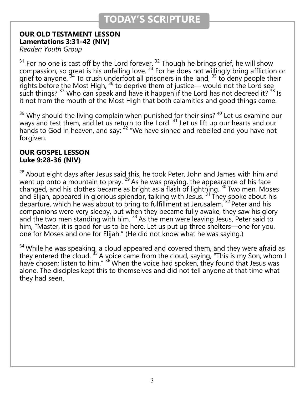### **TODAY'S SCRIPTURE**

### **OUR OLD TESTAMENT LESSON Lamentations 3:31-42 (NIV)**

*Reader: Youth Group*

 $31$  For no one is cast off by the Lord forever.  $32$  Though he brings grief, he will show compassion, so great is his unfailing love. <sup>33</sup> For he does not willingly bring affliction or grief to anyone.<sup>34</sup> To crush underfoot all prisoners in the land,  $35$  to deny people their rights before the Most High,  $36$  to deprive them of justice— would not the Lord see such things?  $37$  Who can speak and have it happen if the Lord has not decreed it?  $38$  Is it not from the mouth of the Most High that both calamities and good things come.

 $39$  Why should the living complain when punished for their sins?  $40$  Let us examine our ways and test them, and let us return to the Lord.<sup>41</sup> Let us lift up our hearts and our hands to God in heaven, and say: <sup>42</sup> "We have sinned and rebelled and you have not forgiven.

### **OUR GOSPEL LESSON Luke 9:28-36 (NIV)**

 $^{28}$  About eight days after Jesus said this, he took Peter, John and James with him and went up onto a mountain to pray.  $29$  As he was praying, the appearance of his face changed, and his clothes became as bright as a flash of lightning.  $^{30}$  Two men, Moses and Elijah, appeared in glorious splendor, talking with Jesus.  $31$  They spoke about his departure, which he was about to bring to fulfillment at Jerusalem.<sup>32</sup> Peter and his companions were very sleepy, but when they became fully awake, they saw his glory and the two men standing with him. <sup>33</sup> As the men were leaving Jesus, Peter said to him, "Master, it is good for us to be here. Let us put up three shelters—one for you, one for Moses and one for Elijah." (He did not know what he was saying.)

 $34$  While he was speaking, a cloud appeared and covered them, and they were afraid as they entered the cloud.<sup>35</sup> A voice came from the cloud, saying, "This is my Son, whom I have chosen; listen to him." <sup>36</sup> When the voice had spoken, they found that Jesus was alone. The disciples kept this to themselves and did not tell anyone at that time what they had seen.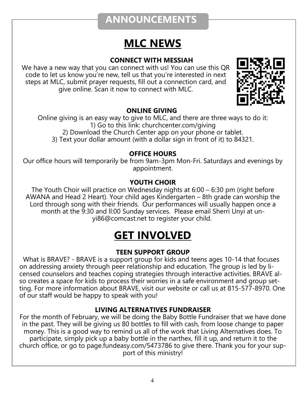### **ANNOUNCEMENTS**

# **MLC NEWS**

### **CONNECT WITH MESSIAH**

We have a new way that you can connect with us! You can use this QR code to let us know you're new, tell us that you're interested in next steps at MLC, submit prayer requests, fill out a connection card, and give online. Scan it now to connect with MLC.



### **ONLINE GIVING**

Online giving is an easy way to give to MLC, and there are three ways to do it: 1) Go to this link: churchcenter.com/giving 2) Download the Church Center app on your phone or tablet. 3) Text your dollar amount (with a dollar sign in front of it) to 84321.

### **OFFICE HOURS**

Our office hours will temporarily be from 9am-3pm Mon-Fri. Saturdays and evenings by appointment.

### **YOUTH CHOIR**

The Youth Choir will practice on Wednesday nights at 6:00 – 6:30 pm (right before AWANA and Head 2 Heart). Your child ages Kindergarten – 8th grade can worship the Lord through song with their friends. Our performances will usually happen once a month at the 9:30 and ll:00 Sunday services. Please email Sherri Unyi at unyi86@comcast.net to register your child.

# **GET INVOLVED**

### **TEEN SUPPORT GROUP**

 What is BRAVE? - BRAVE is a support group for kids and teens ages 10-14 that focuses on addressing anxiety through peer relationship and education. The group is led by licensed counselors and teaches coping strategies through interactive activities. BRAVE also creates a space for kids to process their worries in a safe environment and group setting. For more information about BRAVE, visit our website or call us at 815-577-8970. One of our staff would be happy to speak with you!

### **LIVING ALTERNATIVES FUNDRAISER**

For the month of February, we will be doing the Baby Bottle Fundraiser that we have done in the past. They will be giving us 80 bottles to fill with cash, from loose change to paper money. This is a good way to remind us all of the work that Living Alternatives does. To participate, simply pick up a baby bottle in the narthex, fill it up, and return it to the church office, or go to page.fundeasy.com/5473786 to give there. Thank you for your support of this ministry!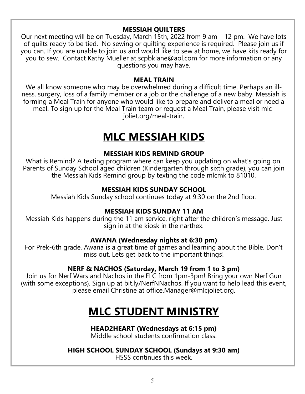### **MESSIAH QUILTERS**

Our next meeting will be on Tuesday, March 15th, 2022 from 9 am – 12 pm. We have lots of quilts ready to be tied. No sewing or quilting experience is required. Please join us if you can. If you are unable to join us and would like to sew at home, we have kits ready for you to sew. Contact Kathy Mueller at scpbklane@aol.com for more information or any questions you may have.

#### **MEAL TRAIN**

We all know someone who may be overwhelmed during a difficult time. Perhaps an illness, surgery, loss of a family member or a job or the challenge of a new baby. Messiah is forming a Meal Train for anyone who would like to prepare and deliver a meal or need a meal. To sign up for the Meal Train team or request a Meal Train, please visit mlcjoliet.org/meal-train.

# **MLC MESSIAH KIDS**

#### **MESSIAH KIDS REMIND GROUP**

What is Remind? A texting program where can keep you updating on what's going on. Parents of Sunday School aged children (Kindergarten through sixth grade), you can join the Messiah Kids Remind group by texting the code mlcmk to 81010.

#### **MESSIAH KIDS SUNDAY SCHOOL**

Messiah Kids Sunday school continues today at 9:30 on the 2nd floor.

### **MESSIAH KIDS SUNDAY 11 AM**

Messiah Kids happens during the 11 am service, right after the children's message. Just sign in at the kiosk in the narthex.

#### **AWANA (Wednesday nights at 6:30 pm)**

For Prek-6th grade, Awana is a great time of games and learning about the Bible. Don't miss out. Lets get back to the important things!

### **NERF & NACHOS (Saturday, March 19 from 1 to 3 pm)**

Join us for Nerf Wars and Nachos in the FLC from 1pm-3pm! Bring your own Nerf Gun (with some exceptions). Sign up at bit.ly/NerfNNachos. If you want to help lead this event, please email Christine at office.Manager@mlcjoliet.org.

# **MLC STUDENT MINISTRY**

#### **HEAD2HEART (Wednesdays at 6:15 pm)**

Middle school students confirmation class.

#### **HIGH SCHOOL SUNDAY SCHOOL (Sundays at 9:30 am)**

HSSS continues this week.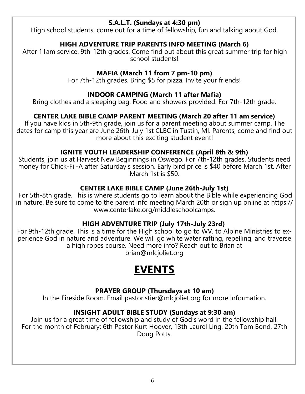### **S.A.L.T. (Sundays at 4:30 pm)**

High school students, come out for a time of fellowship, fun and talking about God.

### **HIGH ADVENTURE TRIP PARENTS INFO MEETING (March 6)**

After 11am service. 9th-12th grades. Come find out about this great summer trip for high school students!

### **MAFIA (March 11 from 7 pm-10 pm)**

For 7th-12th grades. Bring \$5 for pizza. Invite your friends!

#### **INDOOR CAMPING (March 11 after Mafia)**

Bring clothes and a sleeping bag. Food and showers provided. For 7th-12th grade.

### **CENTER LAKE BIBLE CAMP PARENT MEETING (March 20 after 11 am service)**

If you have kids in 5th-9th grade, join us for a parent meeting about summer camp. The dates for camp this year are June 26th-July 1st CLBC in Tustin, MI. Parents, come and find out more about this exciting student event!

### **IGNITE YOUTH LEADERSHIP CONFERENCE (April 8th & 9th)**

Students, join us at Harvest New Beginnings in Oswego. For 7th-12th grades. Students need money for Chick-Fil-A after Saturday's session. Early bird price is \$40 before March 1st. After March 1st is \$50.

### **CENTER LAKE BIBLE CAMP (June 26th-July 1st)**

For 5th-8th grade. This is where students go to learn about the Bible while experiencing God in nature. Be sure to come to the parent info meeting March 20th or sign up online at https:// www.centerlake.org/middleschoolcamps.

### **HIGH ADVENTURE TRIP (July 17th-July 23rd)**

For 9th-12th grade. This is a time for the High school to go to WV. to Alpine Ministries to experience God in nature and adventure. We will go white water rafting, repelling, and traverse a high ropes course. Need more info? Reach out to Brian at brian@mlcjoliet.org

### **EVENTS**

### **PRAYER GROUP (Thursdays at 10 am)**

In the Fireside Room. Email pastor.stier@mlcjoliet.org for more information.

### **INSIGHT ADULT BIBLE STUDY (Sundays at 9:30 am)**

Join us for a great time of fellowship and study of God's word in the fellowship hall. For the month of February: 6th Pastor Kurt Hoover, 13th Laurel Ling, 20th Tom Bond, 27th Doug Potts.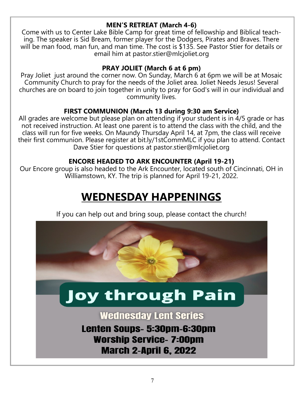### **MEN'S RETREAT (March 4-6)**

Come with us to Center Lake Bible Camp for great time of fellowship and Biblical teaching. The speaker is Sid Bream, former player for the Dodgers, Pirates and Braves. There will be man food, man fun, and man time. The cost is \$135. See Pastor Stier for details or email him at pastor.stier@mlcjoliet.org

### **PRAY JOLIET (March 6 at 6 pm)**

Pray Joliet just around the corner now. On Sunday, March 6 at 6pm we will be at Mosaic Community Church to pray for the needs of the Joliet area. Joliet Needs Jesus! Several churches are on board to join together in unity to pray for God's will in our individual and community lives.

### **FIRST COMMUNION (March 13 during 9:30 am Service)**

All grades are welcome but please plan on attending if your student is in 4/5 grade or has not received instruction. At least one parent is to attend the class with the child, and the class will run for five weeks. On Maundy Thursday April 14, at 7pm, the class will receive their first communion. Please register at bit.ly/1stCommMLC if you plan to attend. Contact Dave Stier for questions at pastor.stier@mlcjoliet.org

### **ENCORE HEADED TO ARK ENCOUNTER (April 19-21)**

Our Encore group is also headed to the Ark Encounter, located south of Cincinnati, OH in Williamstown, KY. The trip is planned for April 19-21, 2022.

# **WEDNESDAY HAPPENINGS**

If you can help out and bring soup, please contact the church!